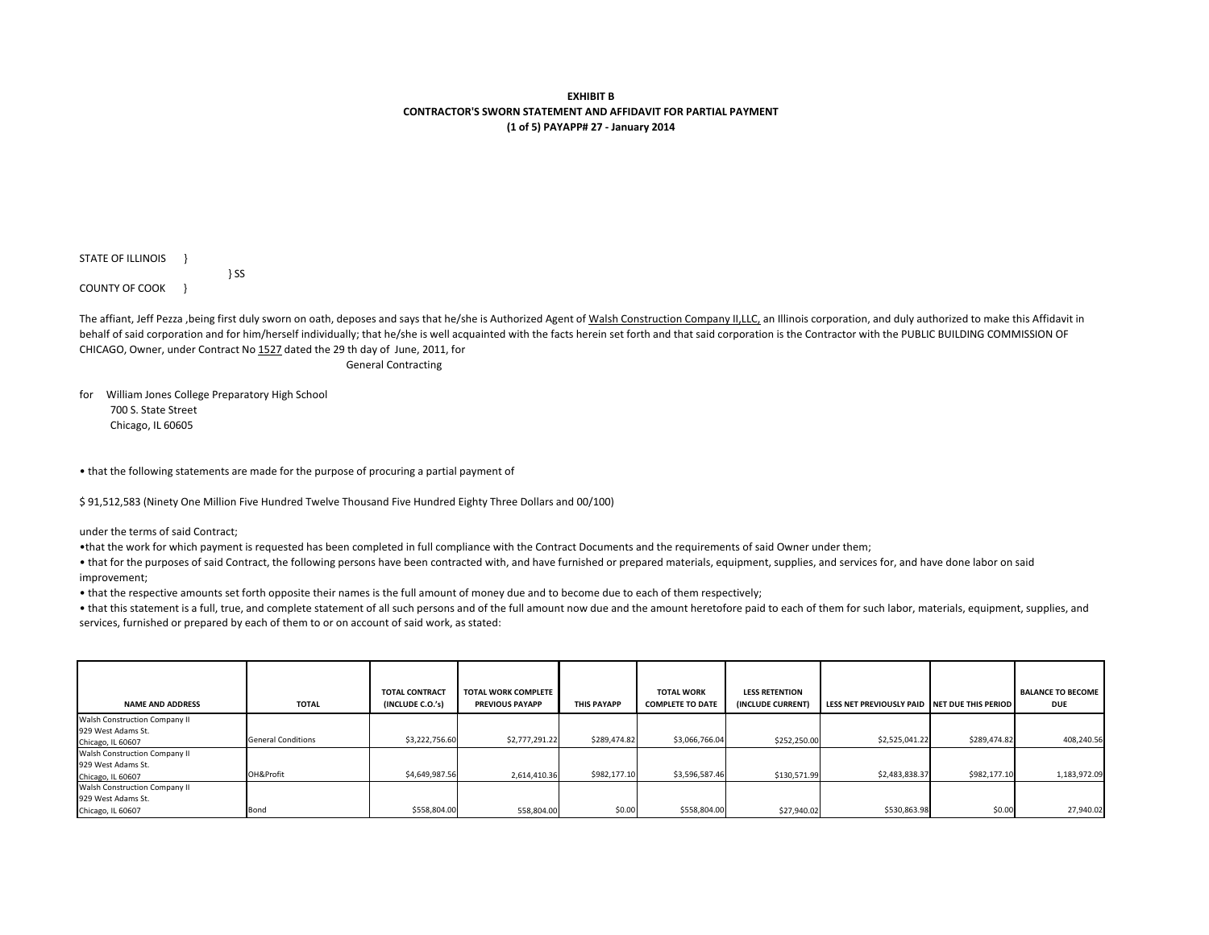**EXHIBIT B CONTRACTOR'S SWORN STATEMENT AND AFFIDAVIT FOR PARTIAL PAYMENT(1 of 5) PAYAPP# 27 - January 2014**

STATE OF ILLINOIS } COUNTY OF COOK }

The affiant, Jeff Pezza ,being first duly sworn on oath, deposes and says that he/she is Authorized Agent of Walsh Construction Company II,LLC, an Illinois corporation, and duly authorized to make this Affidavit in behalf of said corporation and for him/herself individually; that he/she is well acquainted with the facts herein set forth and that said corporation is the Contractor with the PUBLIC BUILDING COMMISSION OF CHICAGO, Owner, under Contract No 1527 dated the 29 th day of June, 2011, for

General Contracting

for William Jones College Preparatory High School700 S. State Street

} SS

Chicago, IL 60605

• that the following statements are made for the purpose of procuring a partial payment of

\$ 91,512,583 (Ninety One Million Five Hundred Twelve Thousand Five Hundred Eighty Three Dollars and 00/100)

under the terms of said Contract;

•that the work for which payment is requested has been completed in full compliance with the Contract Documents and the requirements of said Owner under them;

 • that for the purposes of said Contract, the following persons have been contracted with, and have furnished or prepared materials, equipment, supplies, and services for, and have done labor on said improvement;

• that the respective amounts set forth opposite their names is the full amount of money due and to become due to each of them respectively;

• that this statement is a full, true, and complete statement of all such persons and of the full amount now due and the amount heretofore paid to each of them for such labor, materials, equipment, supplies, and services, furnished or prepared by each of them to or on account of said work, as stated:

| <b>NAME AND ADDRESS</b>       | <b>TOTAL</b>              | <b>TOTAL CONTRACT</b><br>(INCLUDE C.O.'s) | <b>TOTAL WORK COMPLETE</b><br><b>PREVIOUS PAYAPP</b> | <b>THIS PAYAPP</b> | <b>TOTAL WORK</b><br><b>COMPLETE TO DATE</b> | <b>LESS RETENTION</b><br>(INCLUDE CURRENT) | LESS NET PREVIOUSLY PAID INET DUE THIS PERIOD |              | <b>BALANCE TO BECOME</b><br><b>DUE</b> |
|-------------------------------|---------------------------|-------------------------------------------|------------------------------------------------------|--------------------|----------------------------------------------|--------------------------------------------|-----------------------------------------------|--------------|----------------------------------------|
| Walsh Construction Company II |                           |                                           |                                                      |                    |                                              |                                            |                                               |              |                                        |
| 929 West Adams St.            |                           |                                           |                                                      |                    |                                              |                                            |                                               |              |                                        |
| Chicago, IL 60607             | <b>General Conditions</b> | \$3,222,756.60                            | \$2,777,291.22                                       | \$289,474.82       | \$3,066,766.04                               | \$252,250.00                               | \$2,525,041.22                                | \$289,474.82 | 408.240.56                             |
| Walsh Construction Company II |                           |                                           |                                                      |                    |                                              |                                            |                                               |              |                                        |
| 929 West Adams St.            |                           |                                           |                                                      |                    |                                              |                                            |                                               |              |                                        |
| Chicago, IL 60607             | OH&Profit                 | \$4,649,987.56                            | 2,614,410.36                                         | \$982,177.10       | \$3,596,587.46                               | \$130,571.99                               | \$2,483,838.37                                | \$982,177.10 | 1,183,972.09                           |
| Walsh Construction Company II |                           |                                           |                                                      |                    |                                              |                                            |                                               |              |                                        |
| 929 West Adams St.            |                           |                                           |                                                      |                    |                                              |                                            |                                               |              |                                        |
| Chicago, IL 60607             | Bond                      | \$558,804.00                              | 558,804.00                                           | \$0.00             | \$558,804.00                                 | \$27,940.02                                | \$530,863.98                                  | \$0.00       | 27.940.02                              |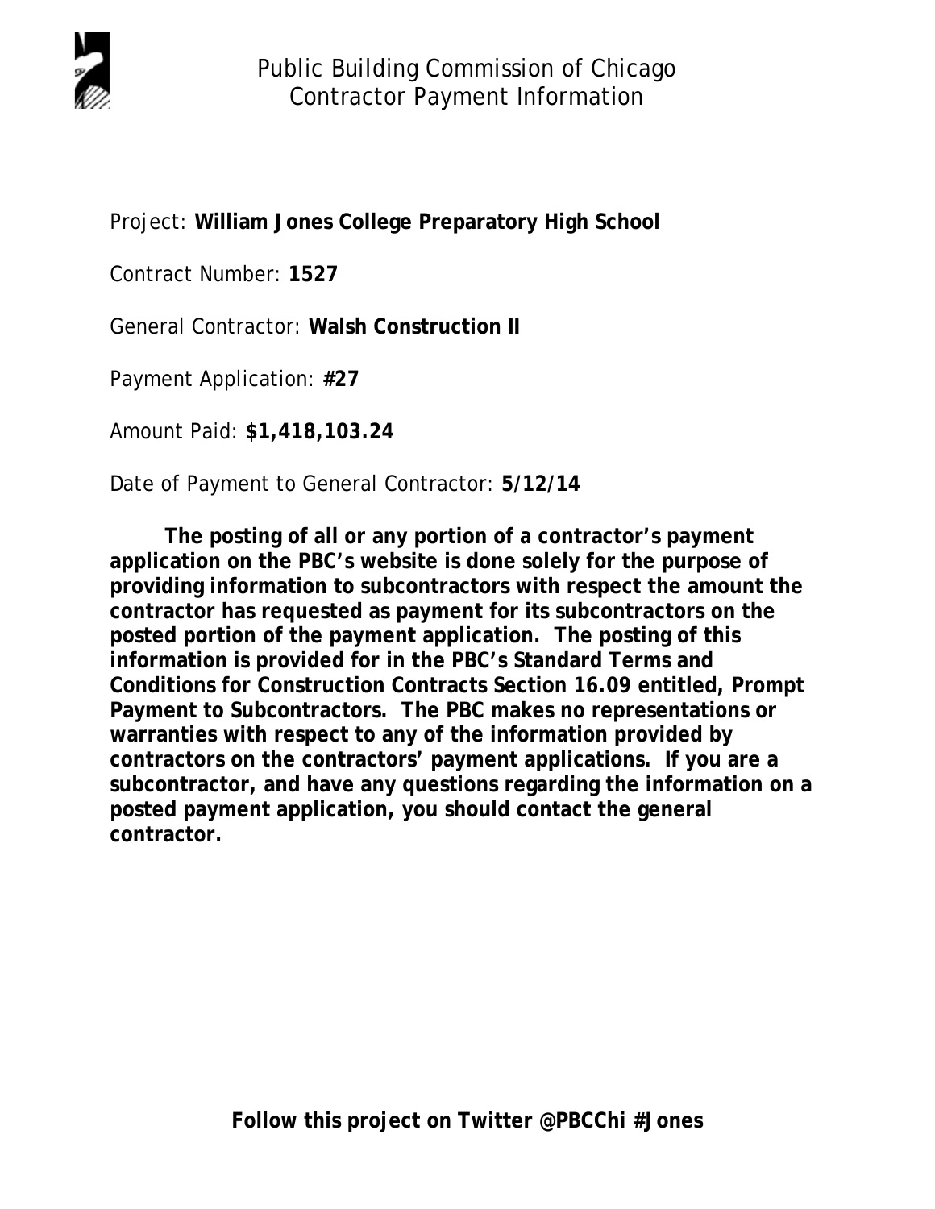

Project: **William Jones College Preparatory High School**

Contract Number: **1527**

General Contractor: **Walsh Construction II**

Payment Application: **#27**

Amount Paid: **\$1,418,103.24**

Date of Payment to General Contractor: **5/12/14**

**The posting of all or any portion of a contractor's payment application on the PBC's website is done solely for the purpose of providing information to subcontractors with respect the amount the contractor has requested as payment for its subcontractors on the posted portion of the payment application. The posting of this information is provided for in the PBC's Standard Terms and Conditions for Construction Contracts Section 16.09 entitled, Prompt Payment to Subcontractors. The PBC makes no representations or warranties with respect to any of the information provided by contractors on the contractors' payment applications. If you are a subcontractor, and have any questions regarding the information on a posted payment application, you should contact the general contractor.**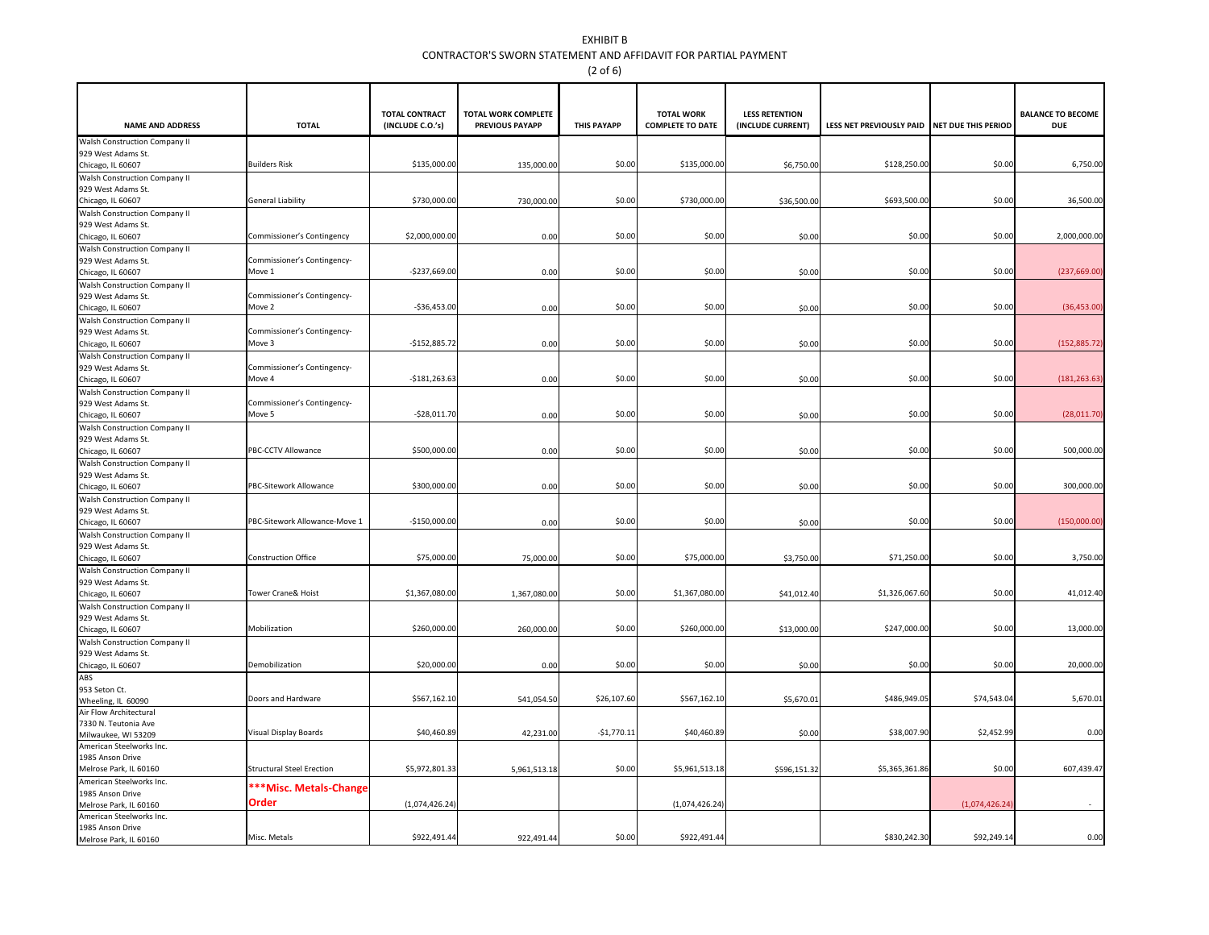## EXHIBIT B CONTRACTOR'S SWORN STATEMENT AND AFFIDAVIT FOR PARTIAL PAYMENT(2 of 6)

|                                                     |                                       | <b>TOTAL CONTRACT</b> | <b>TOTAL WORK COMPLETE</b> |                    | <b>TOTAL WORK</b>       | <b>LESS RETENTION</b> |                                              |                | <b>BALANCE TO BECOME</b> |
|-----------------------------------------------------|---------------------------------------|-----------------------|----------------------------|--------------------|-------------------------|-----------------------|----------------------------------------------|----------------|--------------------------|
| <b>NAME AND ADDRESS</b>                             | <b>TOTAL</b>                          | (INCLUDE C.O.'s)      | <b>PREVIOUS PAYAPP</b>     | <b>THIS PAYAPP</b> | <b>COMPLETE TO DATE</b> | (INCLUDE CURRENT)     | LESS NET PREVIOUSLY PAID NET DUE THIS PERIOD |                | <b>DUE</b>               |
| Walsh Construction Company II                       |                                       |                       |                            |                    |                         |                       |                                              |                |                          |
| 929 West Adams St.                                  | <b>Builders Risk</b>                  | \$135,000.00          |                            | \$0.00             | \$135,000.00            |                       | \$128,250.00                                 | \$0.00         | 6,750.00                 |
| Chicago, IL 60607<br>Walsh Construction Company II  |                                       |                       | 135,000.00                 |                    |                         | \$6,750.00            |                                              |                |                          |
| 929 West Adams St.                                  |                                       |                       |                            |                    |                         |                       |                                              |                |                          |
| Chicago, IL 60607                                   | <b>General Liability</b>              | \$730,000.00          | 730,000.00                 | \$0.00             | \$730,000.00            | \$36,500.00           | \$693,500.00                                 | \$0.00         | 36,500.00                |
| Walsh Construction Company II                       |                                       |                       |                            |                    |                         |                       |                                              |                |                          |
| 929 West Adams St.                                  |                                       |                       |                            |                    |                         |                       |                                              |                |                          |
| Chicago, IL 60607                                   | Commissioner's Contingency            | \$2,000,000.00        | 0.00                       | \$0.00             | \$0.00                  | \$0.00                | \$0.00                                       | \$0.00         | 2,000,000.00             |
| Walsh Construction Company II                       |                                       |                       |                            |                    |                         |                       |                                              |                |                          |
| 929 West Adams St.                                  | Commissioner's Contingency-           |                       |                            |                    |                         |                       |                                              |                |                          |
| Chicago, IL 60607                                   | Move 1                                | $-$237,669.00$        | 0.00                       | \$0.00             | \$0.00                  | \$0.00                | \$0.00                                       | \$0.00         | (237, 669.00)            |
| Walsh Construction Company II<br>929 West Adams St. | Commissioner's Contingency-           |                       |                            |                    |                         |                       |                                              |                |                          |
| Chicago, IL 60607                                   | Move 2                                | $-$36,453.00$         | 0.00                       | \$0.00             | \$0.00                  | \$0.00                | \$0.00                                       | \$0.00         | (36, 453.00)             |
| Walsh Construction Company II                       |                                       |                       |                            |                    |                         |                       |                                              |                |                          |
| 929 West Adams St.                                  | Commissioner's Contingency-           |                       |                            |                    |                         |                       |                                              |                |                          |
| Chicago, IL 60607                                   | Move 3                                | $-$152,885.72$        | 0.00                       | \$0.00             | \$0.00                  | \$0.00                | \$0.00                                       | \$0.00         | (152, 885.72)            |
| Walsh Construction Company II                       |                                       |                       |                            |                    |                         |                       |                                              |                |                          |
| 929 West Adams St.                                  | Commissioner's Contingency-           |                       |                            |                    |                         |                       |                                              |                |                          |
| Chicago, IL 60607                                   | Move 4                                | $-$181,263.63$        | 0.00                       | \$0.00             | \$0.00                  | \$0.00                | \$0.00                                       | \$0.00         | (181, 263.63)            |
| Walsh Construction Company II                       |                                       |                       |                            |                    |                         |                       |                                              |                |                          |
| 929 West Adams St.<br>Chicago, IL 60607             | Commissioner's Contingency-<br>Move 5 | $-528,011.70$         | 0.00                       | \$0.00             | \$0.00                  | \$0.00                | \$0.00                                       | \$0.00         | (28,011.70)              |
| Walsh Construction Company II                       |                                       |                       |                            |                    |                         |                       |                                              |                |                          |
| 929 West Adams St.                                  |                                       |                       |                            |                    |                         |                       |                                              |                |                          |
| Chicago, IL 60607                                   | PBC-CCTV Allowance                    | \$500,000.00          | 0.00                       | \$0.00             | \$0.00                  | \$0.00                | \$0.00                                       | \$0.00         | 500,000.00               |
| Walsh Construction Company II                       |                                       |                       |                            |                    |                         |                       |                                              |                |                          |
| 929 West Adams St.                                  |                                       |                       |                            |                    |                         |                       |                                              |                |                          |
| Chicago, IL 60607                                   | PBC-Sitework Allowance                | \$300,000.00          | 0.00                       | \$0.00             | \$0.00                  | \$0.00                | \$0.00                                       | \$0.00         | 300,000.00               |
| Walsh Construction Company II                       |                                       |                       |                            |                    |                         |                       |                                              |                |                          |
| 929 West Adams St.                                  | PBC-Sitework Allowance-Move 1         | $-$150,000.00$        |                            | \$0.00             | \$0.00                  |                       | \$0.00                                       | \$0.00         | (150,000.00)             |
| Chicago, IL 60607                                   |                                       |                       | 0.00                       |                    |                         | \$0.00                |                                              |                |                          |
| Walsh Construction Company II<br>929 West Adams St. |                                       |                       |                            |                    |                         |                       |                                              |                |                          |
| Chicago, IL 60607                                   | <b>Construction Office</b>            | \$75,000.00           | 75,000.00                  | \$0.00             | \$75,000.00             | \$3,750.00            | \$71,250.00                                  | \$0.00         | 3,750.00                 |
| Walsh Construction Company II                       |                                       |                       |                            |                    |                         |                       |                                              |                |                          |
| 929 West Adams St.                                  |                                       |                       |                            |                    |                         |                       |                                              |                |                          |
| Chicago, IL 60607                                   | Tower Crane& Hoist                    | \$1,367,080.00        | 1,367,080.00               | \$0.00             | \$1,367,080.00          | \$41,012.40           | \$1,326,067.60                               | \$0.00         | 41,012.40                |
| Walsh Construction Company II                       |                                       |                       |                            |                    |                         |                       |                                              |                |                          |
| 929 West Adams St.                                  |                                       |                       |                            |                    |                         |                       |                                              |                |                          |
| Chicago, IL 60607                                   | Mobilization                          | \$260,000.00          | 260,000.00                 | \$0.00             | \$260,000.00            | \$13,000.00           | \$247,000.00                                 | \$0.00         | 13,000.00                |
| Walsh Construction Company II<br>929 West Adams St. |                                       |                       |                            |                    |                         |                       |                                              |                |                          |
| Chicago, IL 60607                                   | Demobilization                        | \$20,000.00           | 0.00                       | \$0.00             | \$0.00                  | \$0.00                | \$0.00                                       | \$0.00         | 20,000.00                |
| ABS                                                 |                                       |                       |                            |                    |                         |                       |                                              |                |                          |
| 953 Seton Ct.                                       |                                       |                       |                            |                    |                         |                       |                                              |                |                          |
| Wheeling, IL 60090                                  | Doors and Hardware                    | \$567,162.10          | 541,054.50                 | \$26,107.6         | \$567,162.10            | \$5,670.01            | \$486,949.05                                 | \$74,543.04    | 5,670.0                  |
| Air Flow Architectural                              |                                       |                       |                            |                    |                         |                       |                                              |                |                          |
| 7330 N. Teutonia Ave                                | Visual Display Boards                 | \$40,460.89           |                            | $-51,770.1$        | \$40,460.89             |                       | \$38,007.90                                  | \$2,452.99     | 0.00                     |
| Milwaukee, WI 53209<br>American Steelworks Inc.     |                                       |                       | 42,231.00                  |                    |                         | \$0.00                |                                              |                |                          |
| 1985 Anson Drive                                    |                                       |                       |                            |                    |                         |                       |                                              |                |                          |
| Melrose Park, IL 60160                              | <b>Structural Steel Erection</b>      | \$5,972,801.3         | 5,961,513.18               | \$0.00             | \$5,961,513.18          | \$596,151.32          | \$5,365,361.86                               | \$0.00         | 607,439.4                |
| American Steelworks Inc.                            |                                       |                       |                            |                    |                         |                       |                                              |                |                          |
| 1985 Anson Drive                                    | **Misc. Metals-Change                 |                       |                            |                    |                         |                       |                                              |                |                          |
| Melrose Park, IL 60160                              | Order                                 | (1,074,426.24)        |                            |                    | (1,074,426.24)          |                       |                                              | (1,074,426.24) |                          |
| American Steelworks Inc.                            |                                       |                       |                            |                    |                         |                       |                                              |                |                          |
| 1985 Anson Drive                                    | Misc. Metals                          | \$922,491.44          | 922,491.44                 | \$0.00             | \$922,491.44            |                       | \$830,242.30                                 | \$92,249.14    | 0.00                     |
| Melrose Park, IL 60160                              |                                       |                       |                            |                    |                         |                       |                                              |                |                          |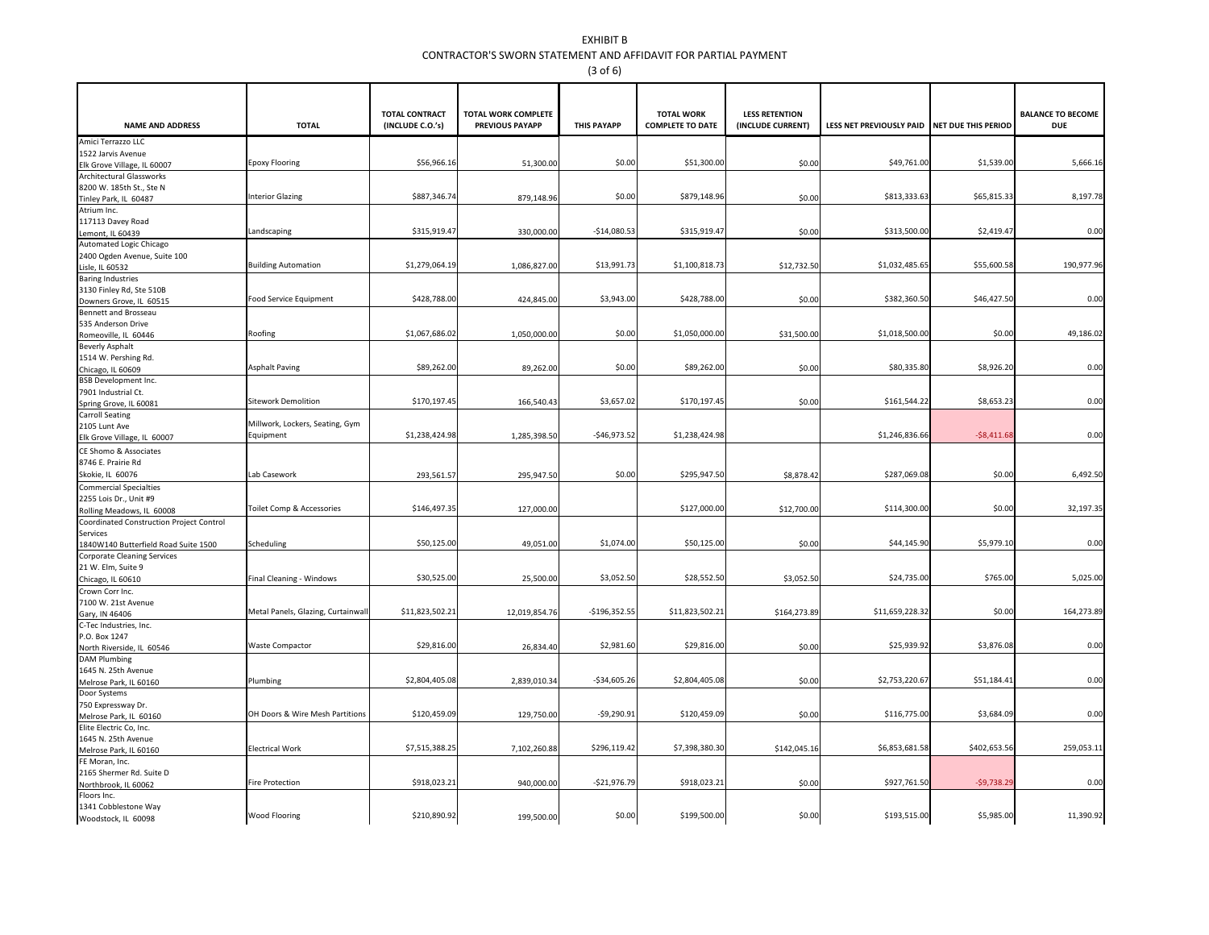## EXHIBIT B CONTRACTOR'S SWORN STATEMENT AND AFFIDAVIT FOR PARTIAL PAYMENT(3 of 6)

|                                                                |                                   | <b>TOTAL CONTRACT</b> | <b>TOTAL WORK COMPLETE</b> |                    | <b>TOTAL WORK</b>       | <b>LESS RETENTION</b> |                                              |              | <b>BALANCE TO BECOME</b> |
|----------------------------------------------------------------|-----------------------------------|-----------------------|----------------------------|--------------------|-------------------------|-----------------------|----------------------------------------------|--------------|--------------------------|
| <b>NAME AND ADDRESS</b>                                        | <b>TOTAL</b>                      | (INCLUDE C.O.'s)      | <b>PREVIOUS PAYAPP</b>     | <b>THIS PAYAPP</b> | <b>COMPLETE TO DATE</b> | (INCLUDE CURRENT)     | LESS NET PREVIOUSLY PAID NET DUE THIS PERIOD |              | <b>DUE</b>               |
| Amici Terrazzo LLC                                             |                                   |                       |                            |                    |                         |                       |                                              |              |                          |
| 1522 Jarvis Avenue                                             | <b>Epoxy Flooring</b>             | \$56,966.16           |                            | \$0.00             | \$51,300.00             | \$0.00                | \$49,761.00                                  | \$1,539.00   | 5,666.1                  |
| Elk Grove Village, IL 60007<br><b>Architectural Glassworks</b> |                                   |                       | 51,300.00                  |                    |                         |                       |                                              |              |                          |
| 8200 W. 185th St., Ste N                                       |                                   |                       |                            |                    |                         |                       |                                              |              |                          |
| Tinley Park, IL 60487                                          | <b>Interior Glazing</b>           | \$887,346.74          | 879,148.96                 | \$0.00             | \$879,148.96            | \$0.00                | \$813,333.63                                 | \$65,815.33  | 8,197.78                 |
| Atrium Inc.                                                    |                                   |                       |                            |                    |                         |                       |                                              |              |                          |
| 117113 Davey Road                                              |                                   |                       |                            |                    |                         |                       |                                              |              |                          |
| Lemont, IL 60439                                               | Landscaping                       | \$315,919.47          | 330,000.00                 | $-$14,080.53$      | \$315,919.47            | \$0.00                | \$313,500.00                                 | \$2,419.47   | 0.00                     |
| Automated Logic Chicago                                        |                                   |                       |                            |                    |                         |                       |                                              |              |                          |
| 2400 Ogden Avenue, Suite 100                                   |                                   |                       |                            |                    |                         |                       |                                              |              |                          |
| Lisle, IL 60532                                                | <b>Building Automation</b>        | \$1,279,064.19        | 1,086,827.00               | \$13,991.73        | \$1,100,818.73          | \$12,732.50           | \$1,032,485.65                               | \$55,600.58  | 190,977.9                |
| <b>Baring Industries</b>                                       |                                   |                       |                            |                    |                         |                       |                                              |              |                          |
| 3130 Finley Rd, Ste 510B                                       | Food Service Equipment            | \$428,788.00          | 424,845.00                 | \$3,943.00         | \$428,788.00            | \$0.00                | \$382,360.50                                 | \$46,427.50  | 0.00                     |
| Downers Grove, IL 60515<br>Bennett and Brosseau                |                                   |                       |                            |                    |                         |                       |                                              |              |                          |
| 535 Anderson Drive                                             |                                   |                       |                            |                    |                         |                       |                                              |              |                          |
| Romeoville, IL 60446                                           | Roofing                           | \$1,067,686.02        | 1,050,000.00               | \$0.00             | \$1,050,000.00          | \$31,500.00           | \$1,018,500.00                               | \$0.00       | 49,186.0                 |
| <b>Beverly Asphalt</b>                                         |                                   |                       |                            |                    |                         |                       |                                              |              |                          |
| 1514 W. Pershing Rd.                                           |                                   |                       |                            |                    |                         |                       |                                              |              |                          |
| Chicago, IL 60609                                              | <b>Asphalt Paving</b>             | \$89,262.00           | 89,262.00                  | \$0.00             | \$89,262.00             | \$0.00                | \$80,335.80                                  | \$8,926.20   | 0.00                     |
| <b>BSB Development Inc.</b>                                    |                                   |                       |                            |                    |                         |                       |                                              |              |                          |
| 7901 Industrial Ct.                                            |                                   |                       |                            |                    |                         |                       |                                              |              |                          |
| Spring Grove, IL 60081                                         | <b>Sitework Demolition</b>        | \$170,197.45          | 166,540.43                 | \$3,657.02         | \$170,197.45            | \$0.00                | \$161,544.22                                 | \$8,653.23   | 0.00                     |
| <b>Carroll Seating</b>                                         | Millwork, Lockers, Seating, Gym   |                       |                            |                    |                         |                       |                                              |              |                          |
| 2105 Lunt Ave<br>Elk Grove Village, IL 60007                   | Equipment                         | \$1,238,424.98        | 1,285,398.50               | $-$46,973.52$      | \$1,238,424.98          |                       | \$1,246,836.66                               | $-58,411.68$ | 0.00                     |
|                                                                |                                   |                       |                            |                    |                         |                       |                                              |              |                          |
| CE Shomo & Associates<br>8746 E. Prairie Rd                    |                                   |                       |                            |                    |                         |                       |                                              |              |                          |
| Skokie, IL 60076                                               | Lab Casework                      | 293,561.57            | 295,947.50                 | \$0.00             | \$295,947.50            | \$8,878.42            | \$287,069.08                                 | \$0.00       | 6,492.50                 |
| <b>Commercial Specialties</b>                                  |                                   |                       |                            |                    |                         |                       |                                              |              |                          |
| 2255 Lois Dr., Unit #9                                         |                                   |                       |                            |                    |                         |                       |                                              |              |                          |
| Rolling Meadows, IL 60008                                      | Toilet Comp & Accessories         | \$146,497.35          | 127,000.00                 |                    | \$127,000.00            | \$12,700.00           | \$114,300.00                                 | \$0.00       | 32,197.3                 |
| Coordinated Construction Project Control                       |                                   |                       |                            |                    |                         |                       |                                              |              |                          |
| Services                                                       |                                   |                       |                            |                    |                         |                       |                                              |              |                          |
| 1840W140 Butterfield Road Suite 1500                           | Scheduling                        | \$50,125.00           | 49,051.00                  | \$1,074.00         | \$50,125.00             | \$0.00                | \$44,145.90                                  | \$5,979.10   | 0.00                     |
| <b>Corporate Cleaning Services</b>                             |                                   |                       |                            |                    |                         |                       |                                              |              |                          |
| 21 W. Elm, Suite 9                                             |                                   |                       |                            |                    |                         |                       |                                              |              |                          |
| Chicago, IL 60610                                              | Final Cleaning - Windows          | \$30,525.00           | 25,500.00                  | \$3,052.50         | \$28,552.50             | \$3,052.50            | \$24,735.00                                  | \$765.00     | 5,025.00                 |
| Crown Corr Inc.                                                |                                   |                       |                            |                    |                         |                       |                                              |              |                          |
| 7100 W. 21st Avenue                                            | Metal Panels, Glazing, Curtainwal | \$11,823,502.21       | 12,019,854.76              | $-$196,352.55$     | \$11,823,502.21         | \$164,273.89          | \$11,659,228.32                              | \$0.00       | 164,273.8                |
| Gary, IN 46406                                                 |                                   |                       |                            |                    |                         |                       |                                              |              |                          |
| C-Tec Industries, Inc.<br>P.O. Box 1247                        |                                   |                       |                            |                    |                         |                       |                                              |              |                          |
| North Riverside, IL 60546                                      | <b>Waste Compactor</b>            | \$29,816.00           | 26,834.40                  | \$2,981.60         | \$29,816.00             | \$0.00                | \$25,939.92                                  | \$3,876.08   | 0.00                     |
| <b>DAM Plumbing</b>                                            |                                   |                       |                            |                    |                         |                       |                                              |              |                          |
| 1645 N. 25th Avenue                                            |                                   |                       |                            |                    |                         |                       |                                              |              |                          |
| Melrose Park, IL 60160                                         | Plumbing                          | \$2,804,405.08        | 2,839,010.34               | $-534,605.26$      | \$2,804,405.08          | \$0.00                | \$2,753,220.67                               | \$51,184.41  | 0.00                     |
| Door Systems                                                   |                                   |                       |                            |                    |                         |                       |                                              |              |                          |
| 750 Expressway Dr.                                             |                                   |                       |                            |                    |                         |                       |                                              |              |                          |
| Melrose Park. IL 60160                                         | OH Doors & Wire Mesh Partitions   | \$120,459.09          | 129,750.00                 | $-59,290.91$       | \$120,459.09            | \$0.00                | \$116,775.00                                 | \$3,684.09   | 0.00                     |
| Elite Electric Co, Inc.                                        |                                   |                       |                            |                    |                         |                       |                                              |              |                          |
| 1645 N. 25th Avenue                                            | <b>Electrical Work</b>            | \$7,515,388.25        | 7,102,260.88               | \$296,119.42       | \$7,398,380.30          | \$142,045.16          | \$6,853,681.58                               | \$402,653.56 | 259,053.1                |
| Melrose Park, IL 60160<br>FE Moran, Inc.                       |                                   |                       |                            |                    |                         |                       |                                              |              |                          |
| 2165 Shermer Rd. Suite D                                       |                                   |                       |                            |                    |                         |                       |                                              |              |                          |
| Northbrook, IL 60062                                           | Fire Protection                   | \$918,023.21          | 940,000.00                 | $-521,976.79$      | \$918,023.21            | \$0.00                | \$927,761.50                                 | $-59,738.29$ | 0.00                     |
| Floors Inc.                                                    |                                   |                       |                            |                    |                         |                       |                                              |              |                          |
| 1341 Cobblestone Way                                           |                                   |                       |                            |                    |                         |                       |                                              |              |                          |
| Woodstock, IL 60098                                            | Wood Flooring                     | \$210,890.92          | 199,500.00                 | \$0.00             | \$199,500.00            | \$0.00                | \$193,515.00                                 | \$5,985.00   | 11,390.92                |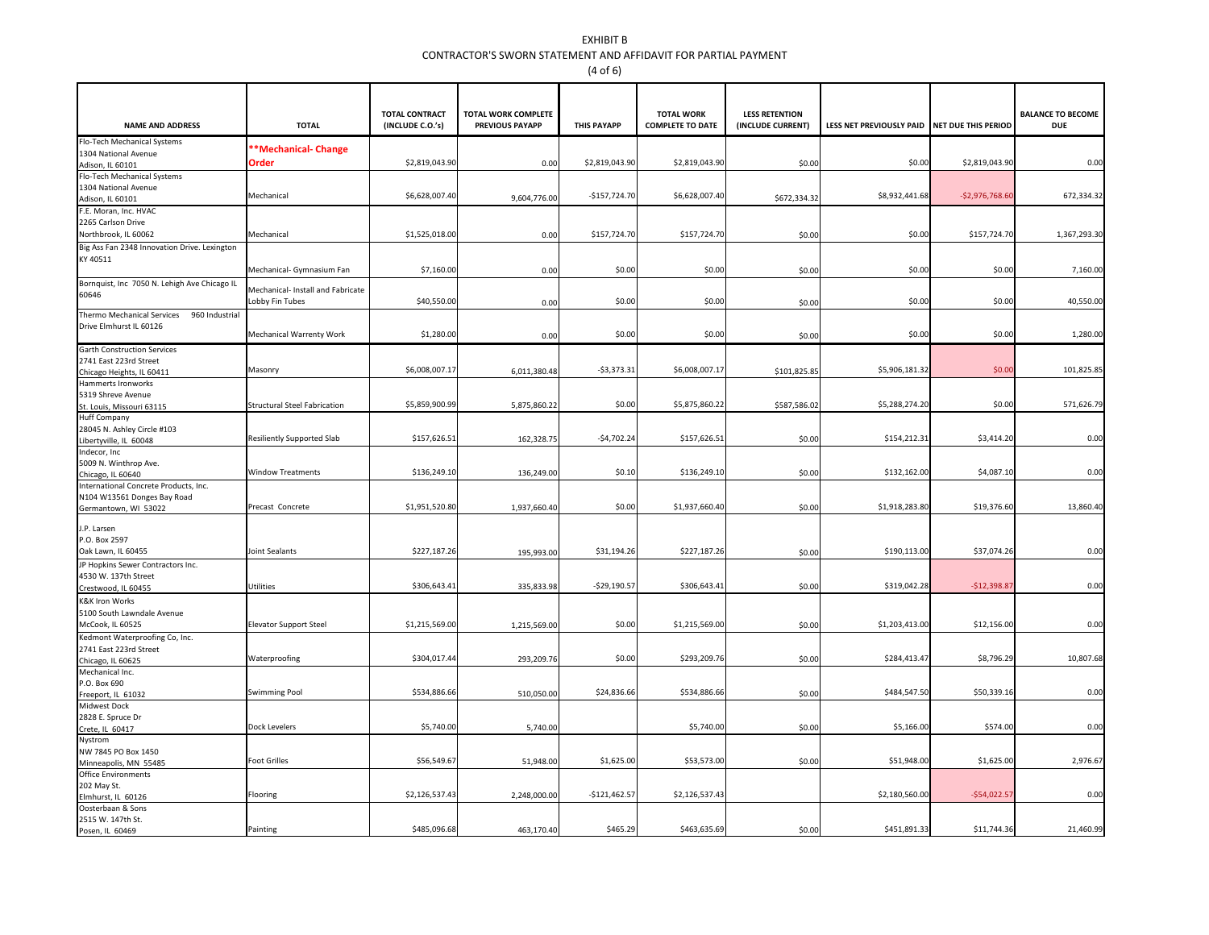## EXHIBIT B CONTRACTOR'S SWORN STATEMENT AND AFFIDAVIT FOR PARTIAL PAYMENT(4 of 6)

| <b>NAME AND ADDRESS</b>                                              | <b>TOTAL</b>                                        | <b>TOTAL CONTRACT</b><br>(INCLUDE C.O.'s) | <b>TOTAL WORK COMPLETE</b><br><b>PREVIOUS PAYAPP</b> | <b>THIS PAYAPP</b> | <b>TOTAL WORK</b><br><b>COMPLETE TO DATE</b> | <b>LESS RETENTION</b><br>(INCLUDE CURRENT) | LESS NET PREVIOUSLY PAID NET DUE THIS PERIOD |                  | <b>BALANCE TO BECOME</b><br><b>DUE</b> |
|----------------------------------------------------------------------|-----------------------------------------------------|-------------------------------------------|------------------------------------------------------|--------------------|----------------------------------------------|--------------------------------------------|----------------------------------------------|------------------|----------------------------------------|
| Flo-Tech Mechanical Systems                                          | **Mechanical-Change                                 |                                           |                                                      |                    |                                              |                                            |                                              |                  |                                        |
| 1304 National Avenue<br>Adison, IL 60101                             | Order                                               | \$2,819,043.90                            | 0.00                                                 | \$2,819,043.9      | \$2,819,043.90                               | \$0.00                                     | \$0.00                                       | \$2,819,043.90   | 0.00                                   |
| Flo-Tech Mechanical Systems                                          |                                                     |                                           |                                                      |                    |                                              |                                            |                                              |                  |                                        |
| 1304 National Avenue                                                 |                                                     |                                           |                                                      |                    |                                              |                                            |                                              |                  |                                        |
| Adison, IL 60101                                                     | Mechanical                                          | \$6,628,007.40                            | 9,604,776.00                                         | $-$157,724.70$     | \$6,628,007.40                               | \$672,334.32                               | \$8,932,441.68                               | $-52,976,768.60$ | 672,334.3                              |
| .E. Moran, Inc. HVAC                                                 |                                                     |                                           |                                                      |                    |                                              |                                            |                                              |                  |                                        |
| 2265 Carlson Drive<br>Northbrook, IL 60062                           | Mechanical                                          | \$1,525,018.00                            | 0.00                                                 | \$157,724.70       | \$157,724.70                                 | \$0.00                                     | \$0.00                                       | \$157,724.70     | 1,367,293.30                           |
| Big Ass Fan 2348 Innovation Drive. Lexington                         |                                                     |                                           |                                                      |                    |                                              |                                            |                                              |                  |                                        |
| KY 40511                                                             |                                                     |                                           |                                                      |                    |                                              |                                            |                                              |                  |                                        |
|                                                                      | Mechanical- Gymnasium Fan                           | \$7,160.00                                | 0.00                                                 | \$0.00             | \$0.00                                       | \$0.00                                     | \$0.00                                       | \$0.00           | 7,160.00                               |
| Bornquist, Inc 7050 N. Lehigh Ave Chicago IL<br>60646                | Mechanical- Install and Fabricate<br>obby Fin Tubes | \$40,550.00                               | 0.00                                                 | \$0.00             | \$0.00                                       | \$0.00                                     | \$0.00                                       | \$0.00           | 40,550.00                              |
| Thermo Mechanical Services<br>960 Industrial                         |                                                     |                                           |                                                      |                    |                                              |                                            |                                              |                  |                                        |
| Drive Elmhurst IL 60126                                              | Mechanical Warrenty Work                            | \$1,280.00                                | 0.00                                                 | \$0.00             | \$0.00                                       | \$0.00                                     | \$0.00                                       | \$0.00           | 1,280.00                               |
| <b>Garth Construction Services</b>                                   |                                                     |                                           |                                                      |                    |                                              |                                            |                                              |                  |                                        |
| 2741 East 223rd Street                                               |                                                     |                                           |                                                      |                    |                                              |                                            |                                              |                  |                                        |
| Chicago Heights, IL 60411                                            | Masonry                                             | \$6,008,007.17                            | 6,011,380.48                                         | $-53,373.3$        | \$6,008,007.17                               | \$101,825.85                               | \$5,906,181.32                               | \$0.00           | 101,825.8                              |
| Hammerts Ironworks<br>5319 Shreve Avenue                             |                                                     |                                           |                                                      |                    |                                              |                                            |                                              |                  |                                        |
| St. Louis, Missouri 63115                                            | <b>Structural Steel Fabrication</b>                 | \$5,859,900.99                            | 5,875,860.22                                         | \$0.00             | \$5,875,860.22                               | \$587,586.02                               | \$5,288,274.20                               | \$0.00           | 571,626.79                             |
| <b>Huff Company</b>                                                  |                                                     |                                           |                                                      |                    |                                              |                                            |                                              |                  |                                        |
| 28045 N. Ashley Circle #103                                          | Resiliently Supported Slab                          | \$157,626.51                              | 162,328.75                                           | $-54,702.24$       | \$157,626.51                                 | \$0.00                                     | \$154,212.31                                 | \$3,414.20       | 0.00                                   |
| Libertyville, IL 60048<br>Indecor, Inc                               |                                                     |                                           |                                                      |                    |                                              |                                            |                                              |                  |                                        |
| 5009 N. Winthrop Ave.                                                |                                                     |                                           |                                                      |                    |                                              |                                            |                                              |                  |                                        |
| Chicago, IL 60640                                                    | <b>Window Treatments</b>                            | \$136,249.10                              | 136,249.00                                           | \$0.10             | \$136,249.10                                 | \$0.00                                     | \$132,162.00                                 | \$4,087.10       | 0.00                                   |
| International Concrete Products, Inc.<br>N104 W13561 Donges Bay Road |                                                     |                                           |                                                      |                    |                                              |                                            |                                              |                  |                                        |
| Germantown, WI 53022                                                 | Precast Concrete                                    | \$1,951,520.8                             | 1,937,660.40                                         | \$0.00             | \$1,937,660.40                               | \$0.00                                     | \$1,918,283.80                               | \$19,376.60      | 13,860.40                              |
| J.P. Larsen                                                          |                                                     |                                           |                                                      |                    |                                              |                                            |                                              |                  |                                        |
| P.O. Box 2597                                                        |                                                     |                                           |                                                      |                    |                                              |                                            |                                              |                  |                                        |
| Oak Lawn, IL 60455                                                   | Joint Sealants                                      | \$227,187.20                              | 195,993.00                                           | \$31,194.26        | \$227,187.26                                 | \$0.00                                     | \$190,113.00                                 | \$37,074.26      | 0.00                                   |
| P Hopkins Sewer Contractors Inc.                                     |                                                     |                                           |                                                      |                    |                                              |                                            |                                              |                  |                                        |
| 4530 W. 137th Street                                                 | Utilities                                           | \$306,643.41                              | 335,833.98                                           | $-529,190.5$       | \$306,643.41                                 | \$0.00                                     | \$319,042.28                                 | $-512,398.87$    | 0.00                                   |
| Crestwood, IL 60455<br>K&K Iron Works                                |                                                     |                                           |                                                      |                    |                                              |                                            |                                              |                  |                                        |
| 5100 South Lawndale Avenue                                           |                                                     |                                           |                                                      |                    |                                              |                                            |                                              |                  |                                        |
| McCook, IL 60525                                                     | <b>Elevator Support Steel</b>                       | \$1,215,569.00                            | 1,215,569.00                                         | \$0.00             | \$1,215,569.00                               | \$0.00                                     | \$1,203,413.00                               | \$12,156.00      | 0.00                                   |
| Kedmont Waterproofing Co, Inc.                                       |                                                     |                                           |                                                      |                    |                                              |                                            |                                              |                  |                                        |
| 2741 East 223rd Street                                               | Waterproofing                                       | \$304,017.44                              | 293,209.76                                           | \$0.00             | \$293,209.76                                 | \$0.00                                     | \$284,413.47                                 | \$8,796.29       | 10,807.68                              |
| Chicago, IL 60625<br>Mechanical Inc.                                 |                                                     |                                           |                                                      |                    |                                              |                                            |                                              |                  |                                        |
| P.O. Box 690                                                         |                                                     |                                           |                                                      |                    |                                              |                                            |                                              |                  |                                        |
| Freeport, IL 61032                                                   | Swimming Pool                                       | \$534,886.66                              | 510,050.00                                           | \$24,836.6         | \$534,886.66                                 | \$0.00                                     | \$484,547.50                                 | \$50,339.16      | 0.00                                   |
| Midwest Dock<br>2828 E. Spruce Dr                                    |                                                     |                                           |                                                      |                    |                                              |                                            |                                              |                  |                                        |
| Crete, IL 60417                                                      | Dock Levelers                                       | \$5,740.00                                | 5,740.00                                             |                    | \$5,740.00                                   | \$0.00                                     | \$5,166.00                                   | \$574.00         | 0.00                                   |
| Nystrom                                                              |                                                     |                                           |                                                      |                    |                                              |                                            |                                              |                  |                                        |
| NW 7845 PO Box 1450                                                  | <b>Foot Grilles</b>                                 | \$56,549.67                               |                                                      | \$1,625.00         | \$53,573.00                                  |                                            | \$51,948.00                                  | \$1,625.00       | 2,976.67                               |
| Minneapolis, MN 55485<br><b>Office Environments</b>                  |                                                     |                                           | 51,948.00                                            |                    |                                              | \$0.00                                     |                                              |                  |                                        |
| 202 May St.                                                          |                                                     |                                           |                                                      |                    |                                              |                                            |                                              |                  |                                        |
| Elmhurst, IL 60126                                                   | Flooring                                            | \$2,126,537.4                             | 2,248,000.00                                         | $-$121,462.5$      | \$2,126,537.43                               |                                            | \$2,180,560.00                               | $-$54,022.5$     | 0.00                                   |
| Oosterbaan & Sons<br>2515 W. 147th St.                               |                                                     |                                           |                                                      |                    |                                              |                                            |                                              |                  |                                        |
| Posen, IL 60469                                                      | Painting                                            | \$485,096.68                              | 463,170.40                                           | \$465.29           | \$463,635.69                                 | \$0.00                                     | \$451,891.33                                 | \$11,744.36      | 21,460.99                              |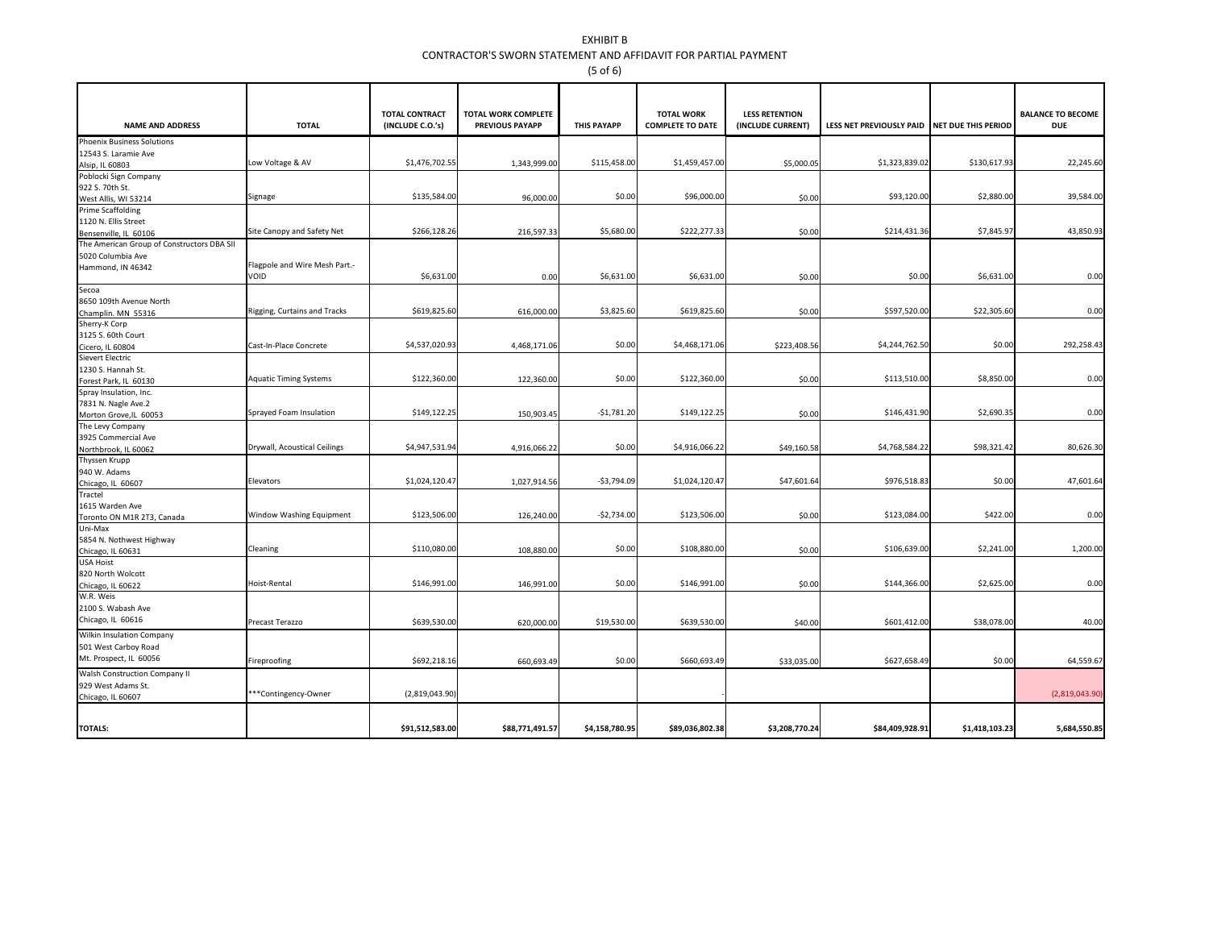## EXHIBIT B CONTRACTOR'S SWORN STATEMENT AND AFFIDAVIT FOR PARTIAL PAYMENT(5 of 6)

| <b>Phoenix Business Solutions</b><br>12543 S. Laramie Ave<br>\$1,476,702.55<br>\$115,458.00<br>\$1,459,457.00<br>\$1,323,839.02<br>Low Voltage & AV<br>\$5,000.05<br>1,343,999.00<br>Alsip, IL 60803<br>Poblocki Sign Company | \$130,617.93<br>22,245.6<br>39,584.00<br>\$2,880.00 |
|-------------------------------------------------------------------------------------------------------------------------------------------------------------------------------------------------------------------------------|-----------------------------------------------------|
|                                                                                                                                                                                                                               |                                                     |
|                                                                                                                                                                                                                               |                                                     |
|                                                                                                                                                                                                                               |                                                     |
|                                                                                                                                                                                                                               |                                                     |
| 922 S. 70th St.                                                                                                                                                                                                               |                                                     |
| \$135,584.00<br>\$0.00<br>\$96,000.00<br>\$93,120.00<br>Signage<br>96,000.00<br>\$0.00<br>West Allis, WI 53214                                                                                                                |                                                     |
| <b>Prime Scaffolding</b>                                                                                                                                                                                                      |                                                     |
| 1120 N. Ellis Street                                                                                                                                                                                                          |                                                     |
| \$5,680.00<br>\$222,277.33<br>Site Canopy and Safety Net<br>\$266,128.26<br>216,597.33<br>\$214,431.36<br>\$0.00<br>Bensenville, IL 60106                                                                                     | 43,850.93<br>\$7,845.97                             |
| The American Group of Constructors DBA SII                                                                                                                                                                                    |                                                     |
| 5020 Columbia Ave                                                                                                                                                                                                             |                                                     |
| Flagpole and Wire Mesh Part.-<br>Hammond, IN 46342<br>VOID<br>\$6,631.00<br>\$6,631.00<br>\$6,631.00<br>\$0.00<br>0.00<br>\$0.00                                                                                              | \$6,631.00<br>0.00                                  |
| Secoa                                                                                                                                                                                                                         |                                                     |
| 8650 109th Avenue North                                                                                                                                                                                                       |                                                     |
| \$3,825.60<br>\$619,825.60<br>616,000.00<br>\$619,825.60<br>\$597,520.00<br>Rigging, Curtains and Tracks<br>\$0.00<br>Champlin. MN 55316                                                                                      | \$22,305.60<br>0.00                                 |
| Sherry-K Corp                                                                                                                                                                                                                 |                                                     |
| 3125 S. 60th Court                                                                                                                                                                                                            |                                                     |
| \$0.00<br>\$4,537,020.93<br>\$4,468,171.06<br>\$4,244,762.50<br>4,468,171.06<br>\$223,408.56<br>Cast-In-Place Concrete<br>Cicero, IL 60804                                                                                    | \$0.00<br>292,258.43                                |
| <b>Sievert Electric</b>                                                                                                                                                                                                       |                                                     |
| 1230 S. Hannah St.                                                                                                                                                                                                            |                                                     |
| \$122,360.00<br>\$0.00<br>\$122,360.00<br>\$113,510.00<br><b>Aquatic Timing Systems</b><br>122,360.00<br>\$0.00<br>Forest Park, IL 60130                                                                                      | \$8,850.00<br>0.00                                  |
| Spray Insulation, Inc.                                                                                                                                                                                                        |                                                     |
| 7831 N. Nagle Ave.2                                                                                                                                                                                                           |                                                     |
| \$149,122.25<br>$-$1,781.20$<br>\$149,122.25<br>Sprayed Foam Insulation<br>\$146,431.90<br>150,903.45<br>\$0.00<br>Morton Grove, IL 60053                                                                                     | 0.00<br>\$2,690.35                                  |
| The Levy Company                                                                                                                                                                                                              |                                                     |
| 3925 Commercial Ave                                                                                                                                                                                                           |                                                     |
| Drywall, Acoustical Ceilings<br>\$4,947,531.94<br>\$0.00<br>\$4,916,066.22<br>\$4,768,584.22<br>4,916,066.22<br>\$49,160.58<br>Northbrook, IL 60062                                                                           | \$98,321.42<br>80,626.30                            |
| Thyssen Krupp                                                                                                                                                                                                                 |                                                     |
| 940 W. Adams<br>\$1,024,120.47<br>$-53,794.09$<br>\$1,024,120.47<br>\$47,601.64<br>\$976,518.83<br>Elevators<br>1,027,914.56                                                                                                  | \$0.00<br>47,601.64                                 |
| Chicago, IL 60607<br>Tractel                                                                                                                                                                                                  |                                                     |
| 1615 Warden Ave                                                                                                                                                                                                               |                                                     |
| \$123,506.00<br>Window Washing Equipment<br>$-52,734.00$<br>\$123,506.00<br>\$123,084.00<br>126,240.00<br>\$0.00<br>Toronto ON M1R 2T3, Canada                                                                                | \$422.00<br>0.00                                    |
| Uni-Max                                                                                                                                                                                                                       |                                                     |
| 5854 N. Nothwest Highway                                                                                                                                                                                                      |                                                     |
| \$110,080.00<br>\$0.00<br>\$108,880.00<br>\$106,639.00<br>Cleaning<br>108,880.00<br>\$0.00<br>Chicago, IL 60631                                                                                                               | 1,200.0<br>\$2,241.00                               |
| <b>USA Hoist</b>                                                                                                                                                                                                              |                                                     |
| 820 North Wolcott                                                                                                                                                                                                             |                                                     |
| \$146,991.00<br>\$0.00<br>\$146,991.00<br>\$144,366.00<br>Hoist-Rental<br>146,991.00<br>\$0.00<br>Chicago, IL 60622                                                                                                           | \$2,625.00<br>0.00                                  |
| W.R. Weis                                                                                                                                                                                                                     |                                                     |
| 2100 S. Wabash Ave                                                                                                                                                                                                            |                                                     |
| Chicago, IL 60616<br>Precast Terazzo<br>\$639,530.00<br>\$19,530.00<br>\$639,530.00<br>\$601,412.00<br>620,000.00<br>\$40.00                                                                                                  | \$38,078.00<br>40.00                                |
| Wilkin Insulation Company                                                                                                                                                                                                     |                                                     |
| 501 West Carboy Road                                                                                                                                                                                                          |                                                     |
| Mt. Prospect, IL 60056                                                                                                                                                                                                        |                                                     |
| Fireproofing<br>\$692,218.16<br>\$0.00<br>\$660,693.49<br>\$627,658.49<br>\$33,035.00<br>660,693.49                                                                                                                           | \$0.00<br>64,559.67                                 |
| Walsh Construction Company II                                                                                                                                                                                                 |                                                     |
| 929 West Adams St.<br>***Contingency-Owner<br>(2,819,043.90)                                                                                                                                                                  | (2,819,043.90)                                      |
| Chicago, IL 60607                                                                                                                                                                                                             |                                                     |
| <b>TOTALS:</b><br>\$91,512,583.00<br>\$88,771,491.57<br>\$4,158,780.95<br>\$89,036,802.38<br>\$3,208,770.24<br>\$84,409,928.91<br>\$1,418,103.23                                                                              | 5,684,550.85                                        |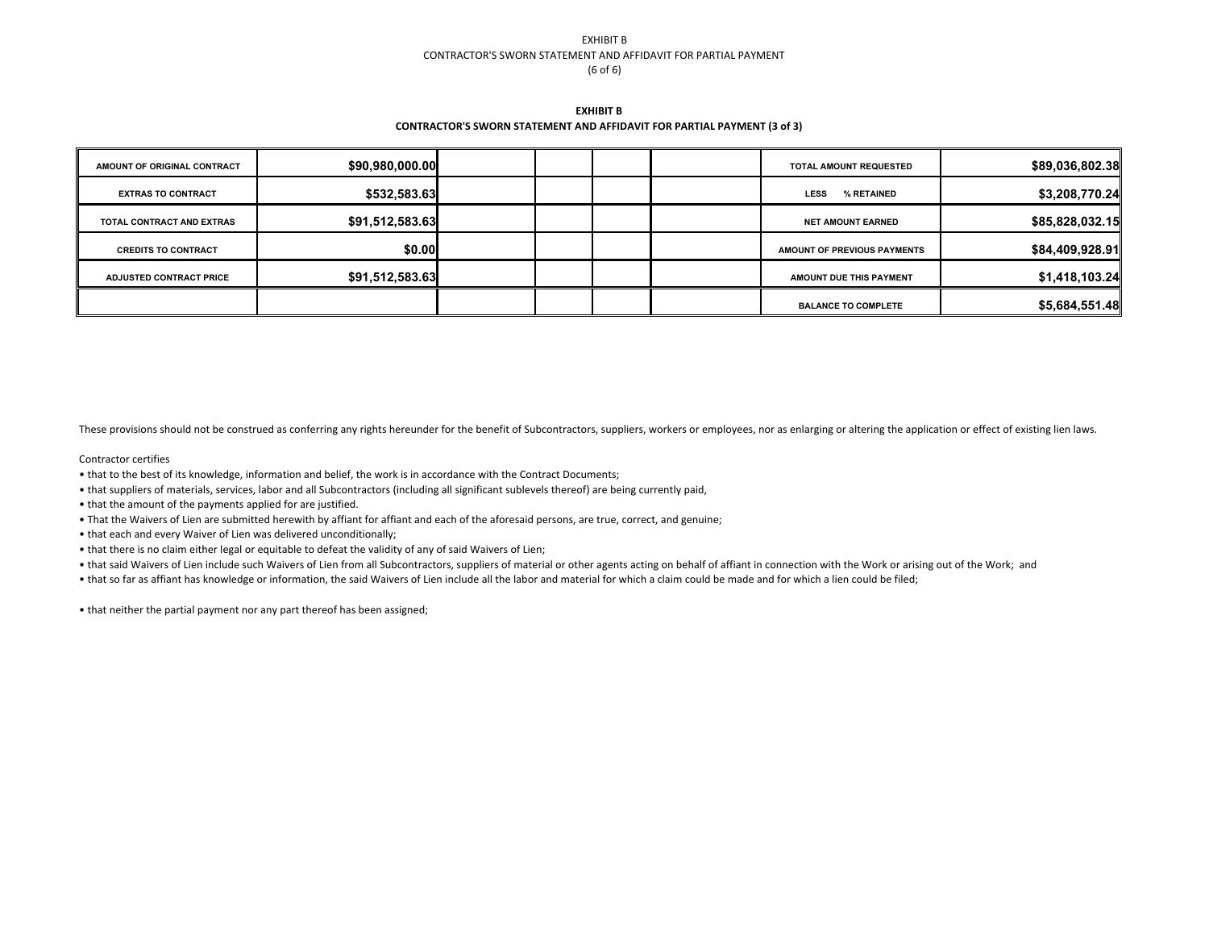#### EXHIBIT B CONTRACTOR'S SWORN STATEMENT AND AFFIDAVIT FOR PARTIAL PAYMENT(6 of 6)

**EXHIBIT BCONTRACTOR'S SWORN STATEMENT AND AFFIDAVIT FOR PARTIAL PAYMENT (3 of 3)**

| AMOUNT OF ORIGINAL CONTRACT    | \$90,980,000.00 |  |  | <b>TOTAL AMOUNT REQUESTED</b>  | \$89,036,802.38 |
|--------------------------------|-----------------|--|--|--------------------------------|-----------------|
| <b>EXTRAS TO CONTRACT</b>      | \$532,583.63    |  |  | % RETAINED<br><b>LESS</b>      | \$3,208,770.24  |
| TOTAL CONTRACT AND EXTRAS      | \$91,512,583.63 |  |  | <b>NET AMOUNT EARNED</b>       | \$85,828,032.15 |
| <b>CREDITS TO CONTRACT</b>     | \$0.00          |  |  | AMOUNT OF PREVIOUS PAYMENTS    | \$84,409,928.91 |
| <b>ADJUSTED CONTRACT PRICE</b> | \$91,512,583.63 |  |  | <b>AMOUNT DUE THIS PAYMENT</b> | \$1,418,103.24  |
|                                |                 |  |  | <b>BALANCE TO COMPLETE</b>     | \$5,684,551.48  |

These provisions should not be construed as conferring any rights hereunder for the benefit of Subcontractors, suppliers, workers or employees, nor as enlarging or altering the application or effect of existing lien laws.

#### Contractor certifies

- that to the best of its knowledge, information and belief, the work is in accordance with the Contract Documents;
- that suppliers of materials, services, labor and all Subcontractors (including all significant sublevels thereof) are being currently paid,
- that the amount of the payments applied for are justified.
- That the Waivers of Lien are submitted herewith by affiant for affiant and each of the aforesaid persons, are true, correct, and genuine;
- that each and every Waiver of Lien was delivered unconditionally;
- that there is no claim either legal or equitable to defeat the validity of any of said Waivers of Lien;
- that said Waivers of Lien include such Waivers of Lien from all Subcontractors, suppliers of material or other agents acting on behalf of affiant in connection with the Work or arising out of the Work; and
- that so far as affiant has knowledge or information, the said Waivers of Lien include all the labor and material for which a claim could be made and for which a lien could be filed;
- that neither the partial payment nor any part thereof has been assigned;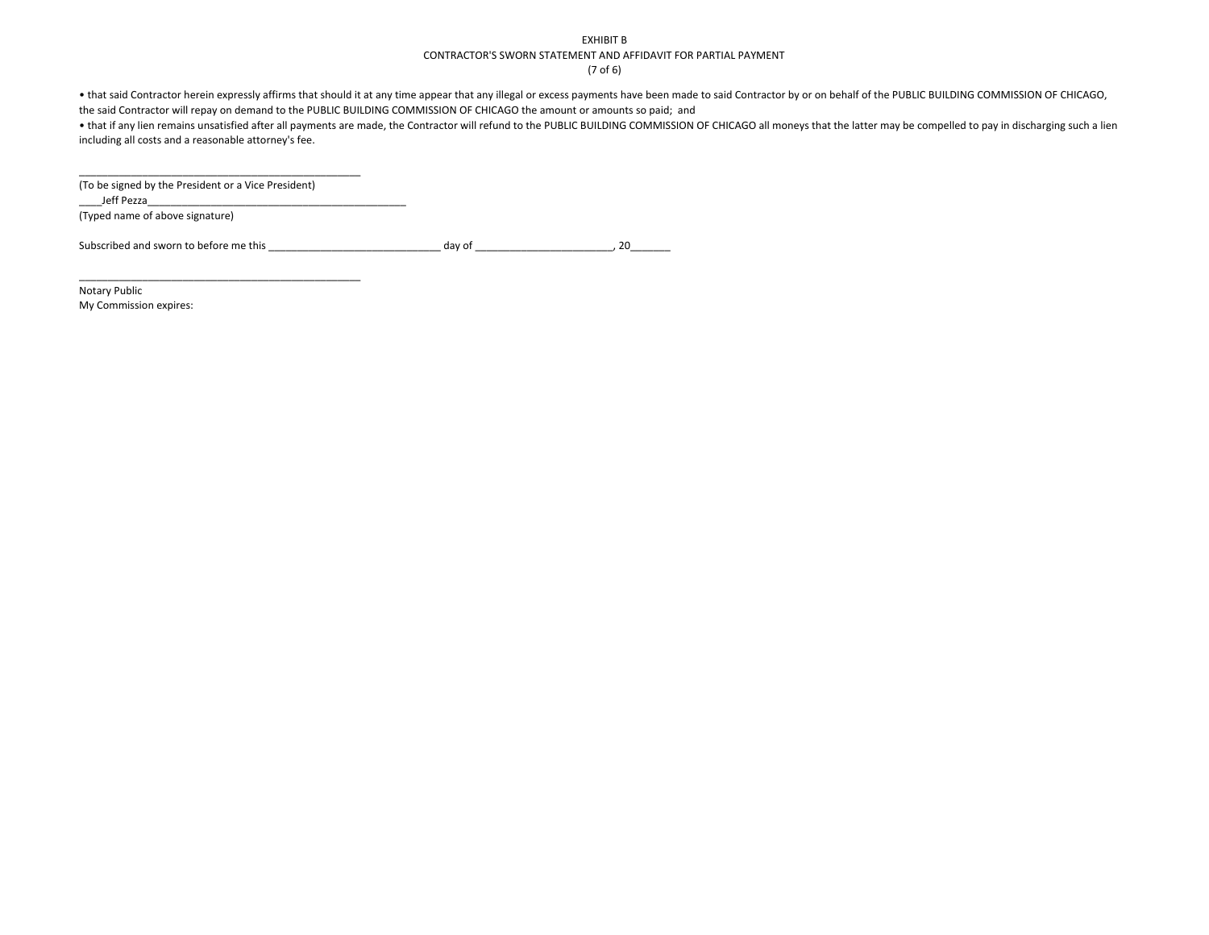#### EXHIBIT B

#### CONTRACTOR'S SWORN STATEMENT AND AFFIDAVIT FOR PARTIAL PAYMENT

(7 of 6)

• that said Contractor herein expressly affirms that should it at any time appear that any illegal or excess payments have been made to said Contractor by or on behalf of the PUBLIC BUILDING COMMISSION OF CHICAGO, the said Contractor will repay on demand to the PUBLIC BUILDING COMMISSION OF CHICAGO the amount or amounts so paid; and

 • that if any lien remains unsatisfied after all payments are made, the Contractor will refund to the PUBLIC BUILDING COMMISSION OF CHICAGO all moneys that the latter may be compelled to pay in discharging such a lien including all costs and a reasonable attorney's fee.

| (To be signed by the President or a Vice President) |  |
|-----------------------------------------------------|--|
| Jeff Pezza                                          |  |
| (Typed name of above signature)                     |  |

Subscribed and sworn to before me this \_\_\_\_\_\_\_\_\_\_\_\_\_\_\_\_\_\_\_\_\_\_\_\_\_\_\_\_\_\_ day of \_\_\_\_\_\_\_\_\_\_\_\_\_\_\_\_\_\_\_\_\_\_\_\_, 20\_\_\_\_\_\_\_

Notary PublicMy Commission expires: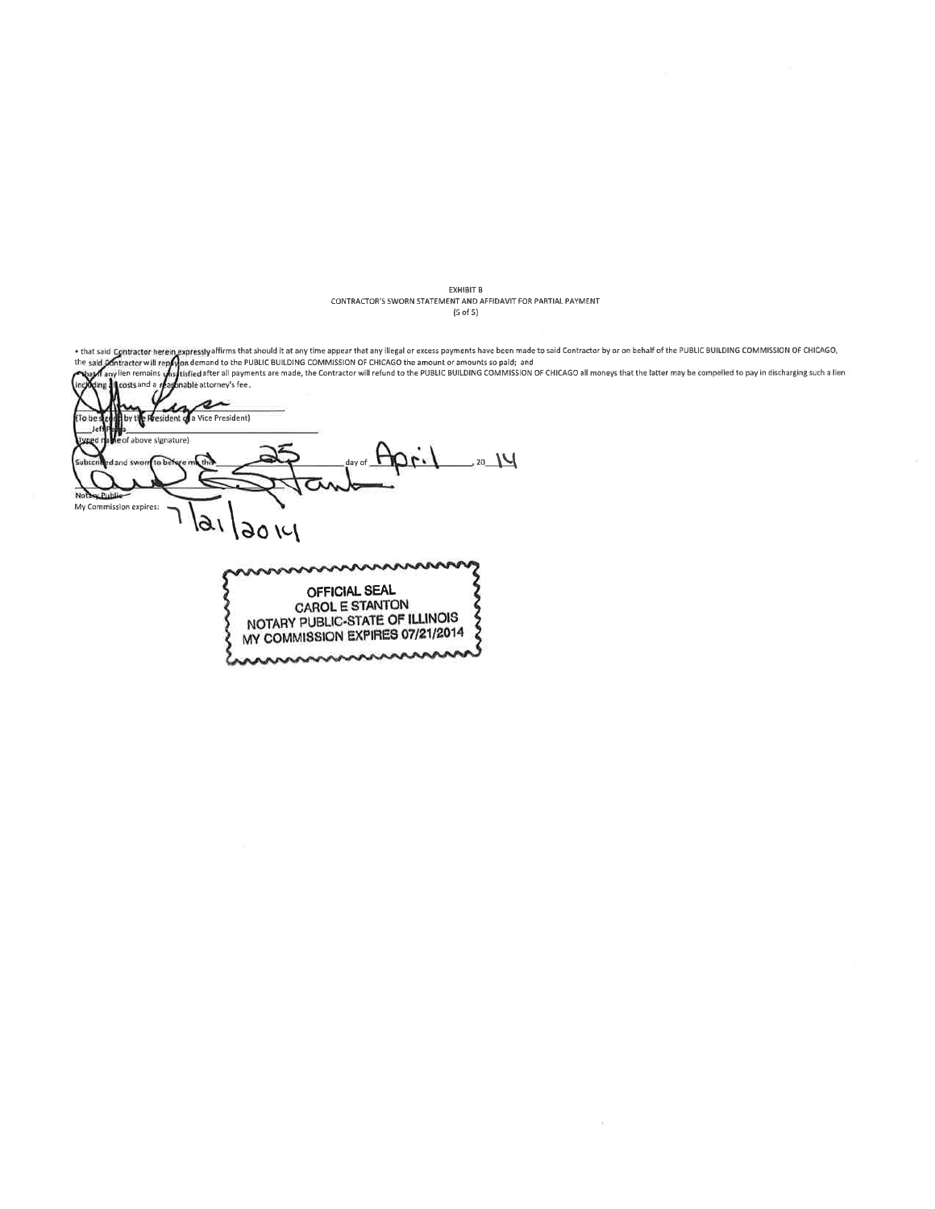EXHIBIT B<br>CONTRACTOR'S SWORN STATEMENT AND AFFIDAVIT FOR PARTIAL PAYMENT  $(5 \text{ of } 5)$ 

• that said Contractor herein expressly affirms that should it at any time appear that any illegal or excess payments have been made to said Contractor by or on behalf of the PUBLIC BULDING COMMISSION OF CHICAGO,<br>the said s a Vice President) ľo l of above signature) 20 JU  $\overline{\mathbf{N}}$ My Commission expires: 161  $|3014|$ nnnnn OFFICIAL SEAL CAROL E STANTON NOTARY PUBLIC-STATE OF ILLINOIS  $\hat{\mathbf{z}}$ MY COMMISSION EXPIRES 07/21/2014